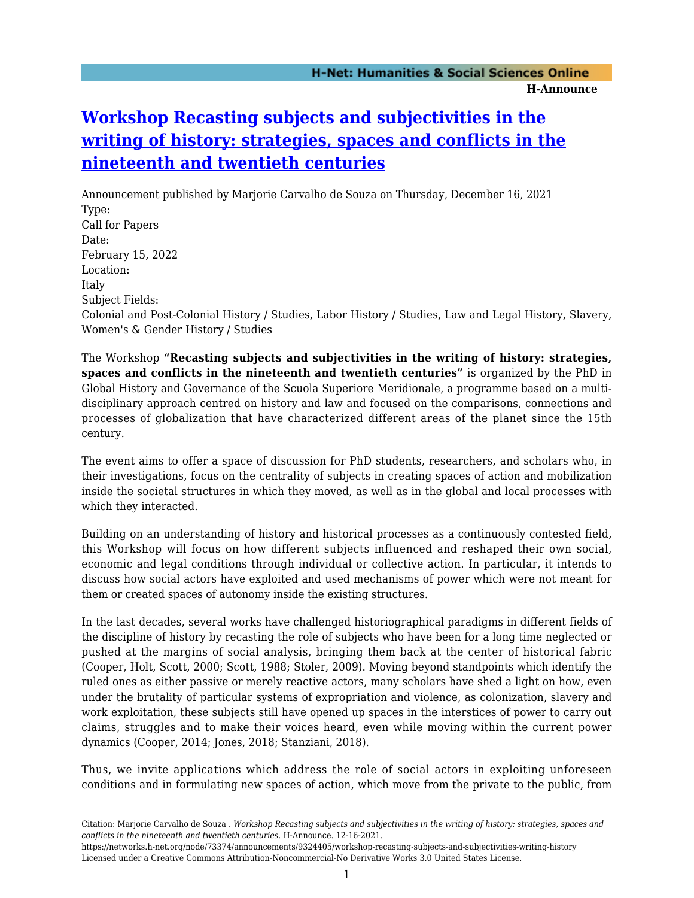# **[Workshop Recasting subjects and subjectivities in the](https://networks.h-net.org/node/73374/announcements/9324405/workshop-recasting-subjects-and-subjectivities-writing-history) [writing of history: strategies, spaces and conflicts in the](https://networks.h-net.org/node/73374/announcements/9324405/workshop-recasting-subjects-and-subjectivities-writing-history) [nineteenth and twentieth centuries](https://networks.h-net.org/node/73374/announcements/9324405/workshop-recasting-subjects-and-subjectivities-writing-history)**

Announcement published by Marjorie Carvalho de Souza on Thursday, December 16, 2021 Type: Call for Papers Date: February 15, 2022 Location: Italy Subject Fields: Colonial and Post-Colonial History / Studies, Labor History / Studies, Law and Legal History, Slavery, Women's & Gender History / Studies

The Workshop **"Recasting subjects and subjectivities in the writing of history: strategies, spaces and conflicts in the nineteenth and twentieth centuries"** is organized by the PhD in Global History and Governance of the Scuola Superiore Meridionale, a programme based on a multidisciplinary approach centred on history and law and focused on the comparisons, connections and processes of globalization that have characterized different areas of the planet since the 15th century.

The event aims to offer a space of discussion for PhD students, researchers, and scholars who, in their investigations, focus on the centrality of subjects in creating spaces of action and mobilization inside the societal structures in which they moved, as well as in the global and local processes with which they interacted.

Building on an understanding of history and historical processes as a continuously contested field, this Workshop will focus on how different subjects influenced and reshaped their own social, economic and legal conditions through individual or collective action. In particular, it intends to discuss how social actors have exploited and used mechanisms of power which were not meant for them or created spaces of autonomy inside the existing structures.

In the last decades, several works have challenged historiographical paradigms in different fields of the discipline of history by recasting the role of subjects who have been for a long time neglected or pushed at the margins of social analysis, bringing them back at the center of historical fabric (Cooper, Holt, Scott, 2000; Scott, 1988; Stoler, 2009). Moving beyond standpoints which identify the ruled ones as either passive or merely reactive actors, many scholars have shed a light on how, even under the brutality of particular systems of expropriation and violence, as colonization, slavery and work exploitation, these subjects still have opened up spaces in the interstices of power to carry out claims, struggles and to make their voices heard, even while moving within the current power dynamics (Cooper, 2014; Jones, 2018; Stanziani, 2018).

Thus, we invite applications which address the role of social actors in exploiting unforeseen conditions and in formulating new spaces of action, which move from the private to the public, from

Citation: Marjorie Carvalho de Souza . *Workshop Recasting subjects and subjectivities in the writing of history: strategies, spaces and conflicts in the nineteenth and twentieth centuries*. H-Announce. 12-16-2021.

https://networks.h-net.org/node/73374/announcements/9324405/workshop-recasting-subjects-and-subjectivities-writing-history Licensed under a Creative Commons Attribution-Noncommercial-No Derivative Works 3.0 United States License.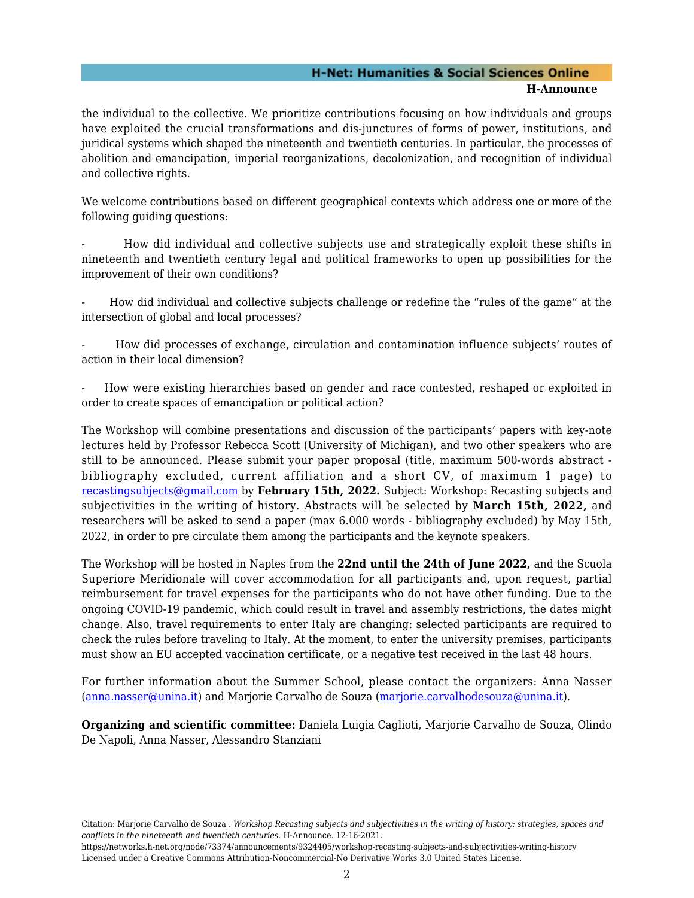## **H-Net: Humanities & Social Sciences Online**

#### **H-Announce**

the individual to the collective. We prioritize contributions focusing on how individuals and groups have exploited the crucial transformations and dis-junctures of forms of power, institutions, and juridical systems which shaped the nineteenth and twentieth centuries. In particular, the processes of abolition and emancipation, imperial reorganizations, decolonization, and recognition of individual and collective rights.

We welcome contributions based on different geographical contexts which address one or more of the following guiding questions:

- How did individual and collective subjects use and strategically exploit these shifts in nineteenth and twentieth century legal and political frameworks to open up possibilities for the improvement of their own conditions?

- How did individual and collective subjects challenge or redefine the "rules of the game" at the intersection of global and local processes?

- How did processes of exchange, circulation and contamination influence subjects' routes of action in their local dimension?

- How were existing hierarchies based on gender and race contested, reshaped or exploited in order to create spaces of emancipation or political action?

The Workshop will combine presentations and discussion of the participants' papers with key-note lectures held by Professor Rebecca Scott (University of Michigan), and two other speakers who are still to be announced. Please submit your paper proposal (title, maximum 500-words abstract bibliography excluded, current affiliation and a short CV, of maximum 1 page) to [recastingsubjects@gmail.com](mailto:recastingsubjects@gmail.com) by **February 15th, 2022.** Subject: Workshop: Recasting subjects and subjectivities in the writing of history. Abstracts will be selected by **March 15th, 2022,** and researchers will be asked to send a paper (max 6.000 words - bibliography excluded) by May 15th, 2022, in order to pre circulate them among the participants and the keynote speakers.

The Workshop will be hosted in Naples from the **22nd until the 24th of June 2022,** and the Scuola Superiore Meridionale will cover accommodation for all participants and, upon request, partial reimbursement for travel expenses for the participants who do not have other funding. Due to the ongoing COVID-19 pandemic, which could result in travel and assembly restrictions, the dates might change. Also, travel requirements to enter Italy are changing: selected participants are required to check the rules before traveling to Italy. At the moment, to enter the university premises, participants must show an EU accepted vaccination certificate, or a negative test received in the last 48 hours.

For further information about the Summer School, please contact the organizers: Anna Nasser ([anna.nasser@unina.it\)](mailto:anna.nasser@unina.it) and Marjorie Carvalho de Souza [\(marjorie.carvalhodesouza@unina.it](mailto:marjorie.carvalhodesouza@unina.it)).

**Organizing and scientific committee:** Daniela Luigia Caglioti, Marjorie Carvalho de Souza, Olindo De Napoli, Anna Nasser, Alessandro Stanziani

Citation: Marjorie Carvalho de Souza . *Workshop Recasting subjects and subjectivities in the writing of history: strategies, spaces and conflicts in the nineteenth and twentieth centuries*. H-Announce. 12-16-2021.

https://networks.h-net.org/node/73374/announcements/9324405/workshop-recasting-subjects-and-subjectivities-writing-history Licensed under a Creative Commons Attribution-Noncommercial-No Derivative Works 3.0 United States License.